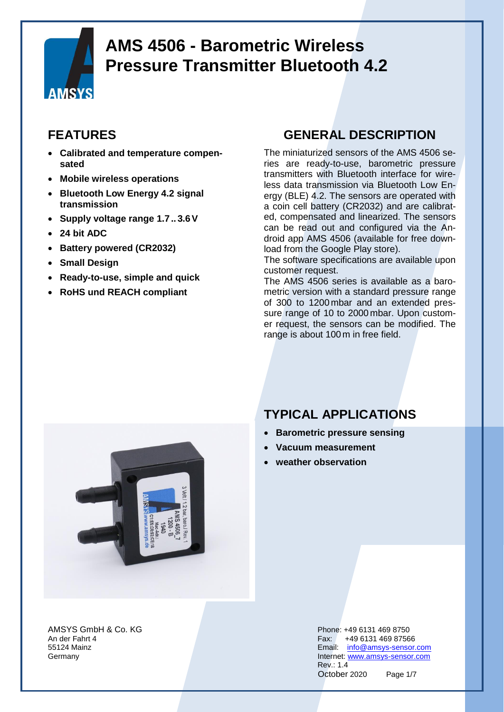

### **FEATURES**

- **Calibrated and temperature compensated**
- **Mobile wireless operations**
- **Bluetooth Low Energy 4.2 signal transmission**
- **Supply voltage range 1.7 .. 3.6V**
- **24 bit ADC**
- **Battery powered (CR2032)**
- **Small Design**
- **Ready-to-use, simple and quick**
- **RoHS und REACH compliant**

#### **GENERAL DESCRIPTION**

The miniaturized sensors of the AMS 4506 series are ready-to-use, barometric pressure transmitters with Bluetooth interface for wireless data transmission via Bluetooth Low Energy (BLE) 4.2. The sensors are operated with a coin cell battery (CR2032) and are calibrated, compensated and linearized. The sensors can be read out and configured via the Android app AMS 4506 (available for free download from the Google Play store).

The software specifications are available upon customer request.

The AMS 4506 series is available as a barometric version with a standard pressure range of 300 to 1200 mbar and an extended pressure range of 10 to 2000 mbar. Upon customer request, the sensors can be modified. The range is about 100 m in free field.



AMSYS GmbH & Co. KG Phone: +49 6131 469 8750

### **TYPICAL APPLICATIONS**

- **Barometric pressure sensing**
- **Vacuum measurement**
- **weather observation**

An der Fahrt 4 Fax: +49 6131 469 87566 55124 Mainz Email: [info@amsys-sensor.com](mailto:info@amsys-sensor.com) **Germany Internet:** [www.amsys-sensor.com](https://www.amsys-sensor.com/) Rev.: 1.4 October 2020 Page 1/7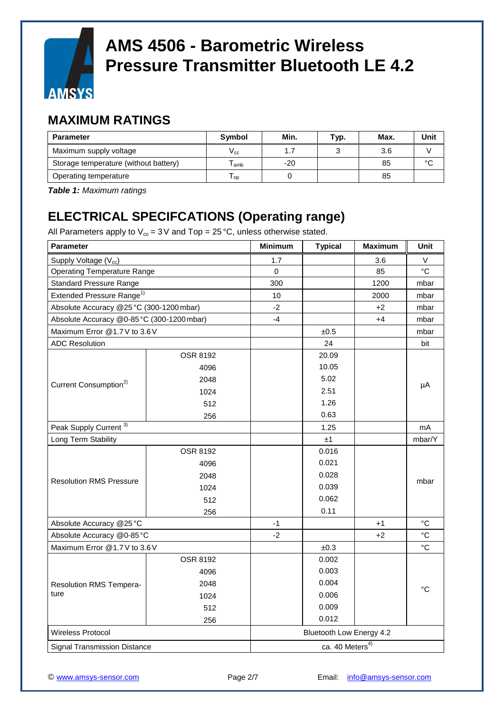

#### **MAXIMUM RATINGS**

| <b>Parameter</b>                      | <b>Symbol</b> | Min.  | Typ. | Max. | Unit   |
|---------------------------------------|---------------|-------|------|------|--------|
| Maximum supply voltage                | V cc.         |       |      | 3.6  |        |
| Storage temperature (without battery) | amb           | $-20$ |      | 85   | $\sim$ |
| Operating temperature                 | l op          |       |      | 85   |        |

*Table 1: Maximum ratings*

### **ELECTRICAL SPECIFCATIONS (Operating range)**

All Parameters apply to  $V_{cc}$  = 3 V and Top = 25 °C, unless otherwise stated.

| <b>Parameter</b>                           |                 | <b>Minimum</b> | <b>Typical</b>              | <b>Maximum</b> | Unit            |  |
|--------------------------------------------|-----------------|----------------|-----------------------------|----------------|-----------------|--|
| Supply Voltage (V <sub>cc</sub> )          |                 | 1.7            |                             | 3.6            | V               |  |
| <b>Operating Temperature Range</b>         |                 | $\Omega$       |                             | 85             | °C              |  |
| <b>Standard Pressure Range</b>             |                 | 300            |                             | 1200           | mbar            |  |
| Extended Pressure Range <sup>1)</sup>      |                 | 10             |                             | 2000           | mbar            |  |
| Absolute Accuracy @25°C (300-1200 mbar)    |                 | $-2$           |                             | $+2$           | mbar            |  |
| Absolute Accuracy @0-85 °C (300-1200 mbar) |                 | $-4$           |                             | $+4$           | mbar            |  |
| Maximum Error @1.7V to 3.6V                |                 |                | ±0.5                        |                | mbar            |  |
| <b>ADC Resolution</b>                      |                 |                | 24                          |                | bit             |  |
|                                            | <b>OSR 8192</b> |                | 20.09                       |                |                 |  |
|                                            | 4096            |                | 10.05                       |                |                 |  |
| Current Consumption <sup>2)</sup>          | 2048            |                | 5.02                        |                |                 |  |
|                                            | 1024            |                | 2.51                        |                | μA              |  |
|                                            | 512             |                | 1.26                        |                |                 |  |
|                                            | 256             |                | 0.63                        |                |                 |  |
| Peak Supply Current <sup>3)</sup>          |                 |                | 1.25                        |                | mA              |  |
| Long Term Stability                        |                 |                | ±1                          |                | mbar/Y          |  |
|                                            | <b>OSR 8192</b> |                | 0.016                       |                | mbar            |  |
|                                            | 4096            |                | 0.021                       |                |                 |  |
| <b>Resolution RMS Pressure</b>             | 2048            |                | 0.028                       |                |                 |  |
|                                            | 1024            |                | 0.039                       |                |                 |  |
|                                            | 512             |                | 0.062                       |                |                 |  |
|                                            | 256             |                | 0.11                        |                |                 |  |
| Absolute Accuracy @25°C                    |                 | $-1$           |                             | $+1$           | $^{\circ}C$     |  |
| Absolute Accuracy @0-85 °C                 |                 | $-2$           |                             | $+2$           | $^{\circ}C$     |  |
| Maximum Error @1.7 V to 3.6 V              |                 |                | ±0.3                        |                | °C              |  |
| Resolution RMS Tempera-<br>ture            | <b>OSR 8192</b> |                | 0.002                       |                | $\rm ^{\circ}C$ |  |
|                                            | 4096            |                | 0.003                       |                |                 |  |
|                                            | 2048            |                | 0.004                       |                |                 |  |
|                                            | 1024            |                | 0.006                       |                |                 |  |
|                                            | 512             |                | 0.009                       |                |                 |  |
|                                            | 256             |                | 0.012                       |                |                 |  |
| Wireless Protocol                          |                 |                | Bluetooth Low Energy 4.2    |                |                 |  |
| Signal Transmission Distance               |                 |                | ca. 40 Meters <sup>4)</sup> |                |                 |  |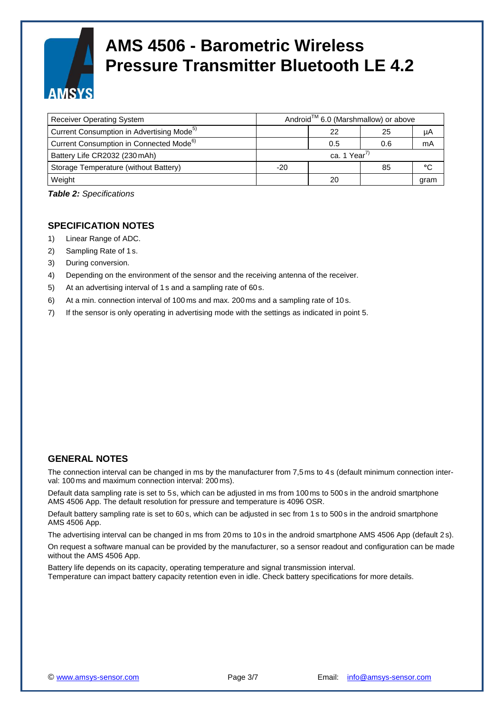

| <b>Receiver Operating System</b>                      |       | Android <sup>™</sup> 6.0 (Marshmallow) or above |     |      |
|-------------------------------------------------------|-------|-------------------------------------------------|-----|------|
| Current Consumption in Advertising Mode <sup>5)</sup> |       | 22                                              | 25  | μA   |
| Current Consumption in Connected Mode <sup>6)</sup>   |       | 0.5                                             | 0.6 | mA   |
| Battery Life CR2032 (230 mAh)                         |       | ca. 1 Year <sup>7)</sup>                        |     |      |
| Storage Temperature (without Battery)                 | $-20$ |                                                 | 85  | °C   |
| Weight                                                |       | 20                                              |     | gram |

*Table 2: Specifications*

#### **SPECIFICATION NOTES**

- 1) Linear Range of ADC.
- 2) Sampling Rate of 1 s.
- 3) During conversion.
- 4) Depending on the environment of the sensor and the receiving antenna of the receiver.
- 5) At an advertising interval of 1 s and a sampling rate of 60s.
- 6) At a min. connection interval of 100 ms and max. 200 ms and a sampling rate of 10s.
- 7) If the sensor is only operating in advertising mode with the settings as indicated in point 5.

#### **GENERAL NOTES**

The connection interval can be changed in ms by the manufacturer from 7,5ms to 4s (default minimum connection interval: 100 ms and maximum connection interval: 200 ms).

Default data sampling rate is set to 5s, which can be adjusted in ms from 100ms to 500s in the android smartphone AMS 4506 App. The default resolution for pressure and temperature is 4096 OSR.

Default battery sampling rate is set to 60 s, which can be adjusted in sec from 1s to 500s in the android smartphone AMS 4506 App.

The advertising interval can be changed in ms from 20ms to 10s in the android smartphone AMS 4506 App (default 2 s).

On request a software manual can be provided by the manufacturer, so a sensor readout and configuration can be made without the AMS 4506 App.

Battery life depends on its capacity, operating temperature and signal transmission interval. Temperature can impact battery capacity retention even in idle. Check battery specifications for more details.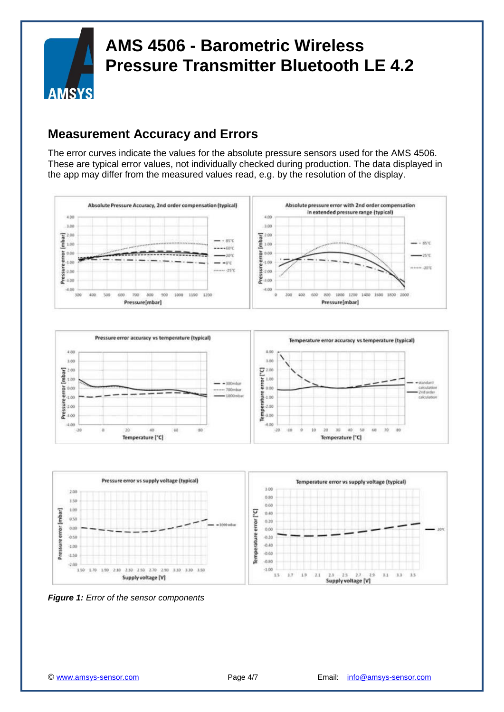

### **Measurement Accuracy and Errors**

The error curves indicate the values for the absolute pressure sensors used for the AMS 4506. These are typical error values, not individually checked during production. The data displayed in the app may differ from the measured values read, e.g. by the resolution of the display.







*Figure 1: Error of the sensor components*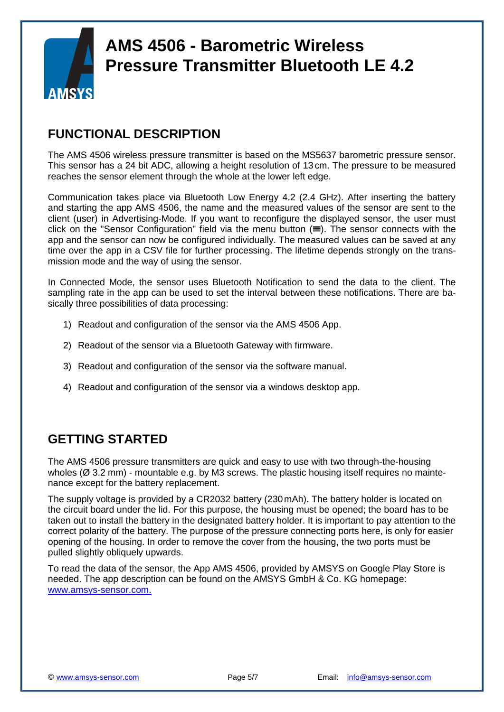

#### **FUNCTIONAL DESCRIPTION**

The AMS 4506 wireless pressure transmitter is based on the MS5637 barometric pressure sensor. This sensor has a 24 bit ADC, allowing a height resolution of 13 cm. The pressure to be measured reaches the sensor element through the whole at the lower left edge.

Communication takes place via Bluetooth Low Energy 4.2 (2.4 GHz). After inserting the battery and starting the app AMS 4506, the name and the measured values of the sensor are sent to the client (user) in Advertising-Mode. If you want to reconfigure the displayed sensor, the user must click on the "Sensor Configuration" field via the menu button  $(\equiv)$ . The sensor connects with the app and the sensor can now be configured individually. The measured values can be saved at any time over the app in a CSV file for further processing. The lifetime depends strongly on the transmission mode and the way of using the sensor.

In Connected Mode, the sensor uses Bluetooth Notification to send the data to the client. The sampling rate in the app can be used to set the interval between these notifications. There are basically three possibilities of data processing:

- 1) Readout and configuration of the sensor via the AMS 4506 App.
- 2) Readout of the sensor via a Bluetooth Gateway with firmware.
- 3) Readout and configuration of the sensor via the software manual.
- 4) Readout and configuration of the sensor via a windows desktop app.

### **GETTING STARTED**

The AMS 4506 pressure transmitters are quick and easy to use with two through-the-housing wholes ( $\varnothing$  3.2 mm) - mountable e.g. by M3 screws. The plastic housing itself requires no maintenance except for the battery replacement.

The supply voltage is provided by a CR2032 battery (230mAh). The battery holder is located on the circuit board under the lid. For this purpose, the housing must be opened; the board has to be taken out to install the battery in the designated battery holder. It is important to pay attention to the correct polarity of the battery. The purpose of the pressure connecting ports here, is only for easier opening of the housing. In order to remove the cover from the housing, the two ports must be pulled slightly obliquely upwards.

To read the data of the sensor, the App AMS 4506, provided by AMSYS on Google Play Store is needed. The app description can be found on the AMSYS GmbH & Co. KG homepage: [www.amsys-sensor.com.](http://www.amsys-sensor.com./)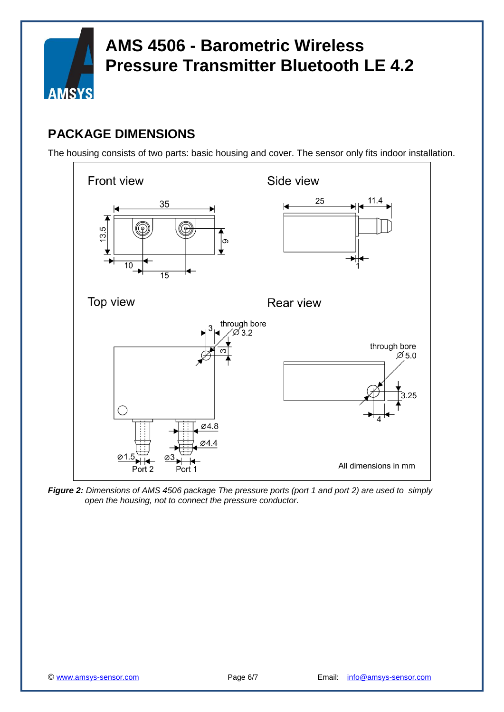

### **PACKAGE DIMENSIONS**

The housing consists of two parts: basic housing and cover. The sensor only fits indoor installation.



*Figure 2: Dimensions of AMS 4506 package The pressure ports (port 1 and port 2) are used to simply open the housing, not to connect the pressure conductor.*